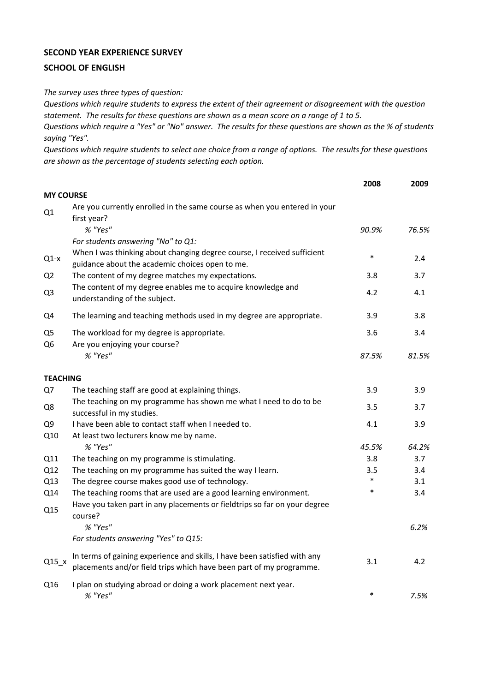## **SECOND YEAR EXPERIENCE SURVEY**

## **SCHOOL OF ENGLISH**

*The survey uses three types of question:*

*Questions which require students to express the extent of their agreement or disagreement with the question statement. The results for these questions are shown as a mean score on a range of 1 to 5.*

*Questions which require a "Yes" or "No" answer. The results for these questions are shown as the % of students saying "Yes".*

*Questions which require students to select one choice from a range of options. The results for these questions are shown as the percentage of students selecting each option.*

|                                  |                                                                                                                                                  | 2008   | 2009  |
|----------------------------------|--------------------------------------------------------------------------------------------------------------------------------------------------|--------|-------|
| <b>MY COURSE</b>                 |                                                                                                                                                  |        |       |
| Q1                               | Are you currently enrolled in the same course as when you entered in your<br>first year?                                                         |        |       |
|                                  | % "Yes"                                                                                                                                          | 90.9%  | 76.5% |
|                                  | For students answering "No" to Q1:                                                                                                               |        |       |
| $Q1-x$                           | When I was thinking about changing degree course, I received sufficient<br>guidance about the academic choices open to me.                       | $\ast$ | 2.4   |
| Q <sub>2</sub>                   | The content of my degree matches my expectations.                                                                                                | 3.8    | 3.7   |
| Q <sub>3</sub>                   | The content of my degree enables me to acquire knowledge and<br>understanding of the subject.                                                    | 4.2    | 4.1   |
| Q4                               | The learning and teaching methods used in my degree are appropriate.                                                                             | 3.9    | 3.8   |
| Q <sub>5</sub><br>Q <sub>6</sub> | The workload for my degree is appropriate.<br>Are you enjoying your course?                                                                      | 3.6    | 3.4   |
|                                  | % "Yes"                                                                                                                                          | 87.5%  | 81.5% |
| <b>TEACHING</b>                  |                                                                                                                                                  |        |       |
| Q7                               | The teaching staff are good at explaining things.                                                                                                | 3.9    | 3.9   |
| Q8                               | The teaching on my programme has shown me what I need to do to be<br>successful in my studies.                                                   | 3.5    | 3.7   |
| Q <sub>9</sub>                   | I have been able to contact staff when I needed to.                                                                                              | 4.1    | 3.9   |
| Q10                              | At least two lecturers know me by name.                                                                                                          |        |       |
|                                  | % "Yes"                                                                                                                                          | 45.5%  | 64.2% |
| Q11                              | The teaching on my programme is stimulating.                                                                                                     | 3.8    | 3.7   |
| Q12                              | The teaching on my programme has suited the way I learn.                                                                                         | 3.5    | 3.4   |
| Q13                              | The degree course makes good use of technology.                                                                                                  | *      | 3.1   |
| Q14                              | The teaching rooms that are used are a good learning environment.                                                                                | $\ast$ | 3.4   |
| Q15                              | Have you taken part in any placements or fieldtrips so far on your degree<br>course?                                                             |        |       |
|                                  | % "Yes"                                                                                                                                          |        | 6.2%  |
|                                  | For students answering "Yes" to Q15:                                                                                                             |        |       |
| $Q15_x$                          | In terms of gaining experience and skills, I have been satisfied with any<br>placements and/or field trips which have been part of my programme. | 3.1    | 4.2   |
| Q16                              | I plan on studying abroad or doing a work placement next year.<br>% "Yes"                                                                        | $\ast$ | 7.5%  |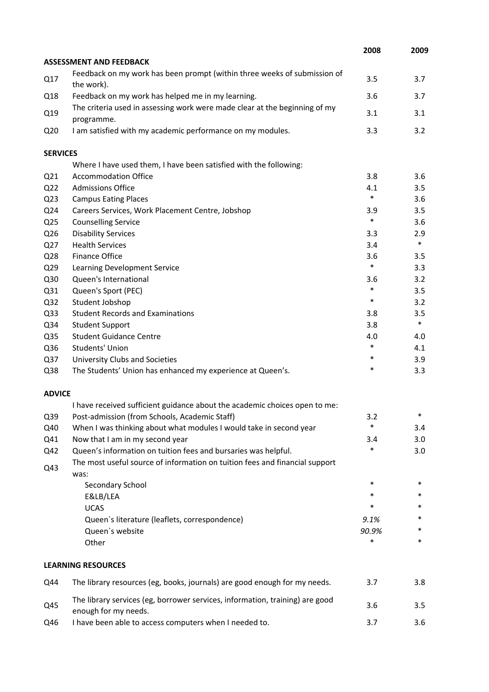|                 |                                                                                                      | 2008   | 2009   |
|-----------------|------------------------------------------------------------------------------------------------------|--------|--------|
|                 | <b>ASSESSMENT AND FEEDBACK</b>                                                                       |        |        |
| Q17             | Feedback on my work has been prompt (within three weeks of submission of<br>the work).               | 3.5    | 3.7    |
| Q18             | Feedback on my work has helped me in my learning.                                                    | 3.6    | 3.7    |
| Q19             | The criteria used in assessing work were made clear at the beginning of my<br>programme.             | 3.1    | 3.1    |
| Q <sub>20</sub> | I am satisfied with my academic performance on my modules.                                           | 3.3    | 3.2    |
| <b>SERVICES</b> |                                                                                                      |        |        |
|                 | Where I have used them, I have been satisfied with the following:                                    |        |        |
| Q <sub>21</sub> | <b>Accommodation Office</b>                                                                          | 3.8    | 3.6    |
| Q <sub>22</sub> | <b>Admissions Office</b>                                                                             | 4.1    | 3.5    |
| Q <sub>23</sub> | <b>Campus Eating Places</b>                                                                          | $\ast$ | 3.6    |
| Q24             | Careers Services, Work Placement Centre, Jobshop                                                     | 3.9    | 3.5    |
| Q <sub>25</sub> | <b>Counselling Service</b>                                                                           | $\ast$ | 3.6    |
| Q26             | <b>Disability Services</b>                                                                           | 3.3    | 2.9    |
| Q27             | <b>Health Services</b>                                                                               | 3.4    | $\ast$ |
| Q28             | Finance Office                                                                                       | 3.6    | 3.5    |
| Q <sub>29</sub> | Learning Development Service                                                                         | $\ast$ | 3.3    |
| Q30             | Queen's International                                                                                | 3.6    | 3.2    |
| Q31             | Queen's Sport (PEC)                                                                                  | $\ast$ | 3.5    |
| Q <sub>32</sub> | Student Jobshop                                                                                      | $\ast$ | 3.2    |
| Q <sub>33</sub> | <b>Student Records and Examinations</b>                                                              | 3.8    | 3.5    |
| Q34             | <b>Student Support</b>                                                                               | 3.8    | $\ast$ |
| Q <sub>35</sub> | <b>Student Guidance Centre</b>                                                                       | 4.0    | 4.0    |
| Q36             | Students' Union                                                                                      | $\ast$ | 4.1    |
| Q <sub>37</sub> | University Clubs and Societies                                                                       | $\ast$ | 3.9    |
| Q38             | The Students' Union has enhanced my experience at Queen's.                                           | $\ast$ | 3.3    |
| <b>ADVICE</b>   |                                                                                                      |        |        |
|                 | I have received sufficient guidance about the academic choices open to me:                           |        |        |
| Q39             | Post-admission (from Schools, Academic Staff)                                                        | 3.2    | *      |
| Q40             | When I was thinking about what modules I would take in second year                                   | $\ast$ | 3.4    |
| Q41             | Now that I am in my second year                                                                      | 3.4    | 3.0    |
| Q42             | Queen's information on tuition fees and bursaries was helpful.                                       | *      | 3.0    |
| Q43             | The most useful source of information on tuition fees and financial support<br>was:                  |        |        |
|                 | Secondary School                                                                                     | $\ast$ | $\ast$ |
|                 | E&LB/LEA                                                                                             | *      | *      |
|                 | <b>UCAS</b>                                                                                          | *      | *      |
|                 | Queen's literature (leaflets, correspondence)                                                        | 9.1%   | *      |
|                 | Queen's website                                                                                      | 90.9%  | *      |
|                 | Other                                                                                                | *      | $\ast$ |
|                 | <b>LEARNING RESOURCES</b>                                                                            |        |        |
| Q44             | The library resources (eg, books, journals) are good enough for my needs.                            | 3.7    | 3.8    |
| Q45             | The library services (eg, borrower services, information, training) are good<br>enough for my needs. | 3.6    | 3.5    |
| Q46             | I have been able to access computers when I needed to.                                               | 3.7    | 3.6    |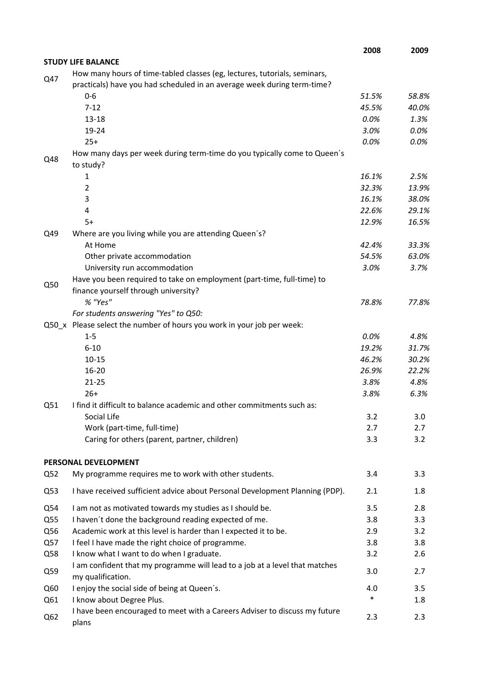|                 |                                                                                                                                                      | 2008          | 2009          |
|-----------------|------------------------------------------------------------------------------------------------------------------------------------------------------|---------------|---------------|
|                 | <b>STUDY LIFE BALANCE</b>                                                                                                                            |               |               |
| Q47             | How many hours of time-tabled classes (eg, lectures, tutorials, seminars,<br>practicals) have you had scheduled in an average week during term-time? |               |               |
|                 | $0 - 6$                                                                                                                                              | 51.5%         | 58.8%         |
|                 | $7 - 12$                                                                                                                                             | 45.5%         | 40.0%         |
|                 | 13-18                                                                                                                                                | 0.0%          | 1.3%          |
|                 | 19-24                                                                                                                                                | 3.0%          | 0.0%          |
|                 | $25+$                                                                                                                                                | 0.0%          | 0.0%          |
| Q48             | How many days per week during term-time do you typically come to Queen's<br>to study?                                                                |               |               |
|                 | 1                                                                                                                                                    | 16.1%         | 2.5%          |
|                 | 2                                                                                                                                                    | 32.3%         | 13.9%         |
|                 | 3                                                                                                                                                    | 16.1%         | 38.0%         |
|                 | 4                                                                                                                                                    | 22.6%         | 29.1%         |
|                 | $5+$                                                                                                                                                 | 12.9%         | 16.5%         |
| Q49             | Where are you living while you are attending Queen's?                                                                                                |               |               |
|                 | At Home                                                                                                                                              | 42.4%         | 33.3%         |
|                 | Other private accommodation                                                                                                                          | 54.5%         | 63.0%         |
|                 | University run accommodation                                                                                                                         | 3.0%          | 3.7%          |
| Q50             | Have you been required to take on employment (part-time, full-time) to                                                                               |               |               |
|                 | finance yourself through university?                                                                                                                 |               |               |
|                 | % "Yes"                                                                                                                                              | 78.8%         | 77.8%         |
|                 | For students answering "Yes" to Q50:                                                                                                                 |               |               |
|                 | Q50_x Please select the number of hours you work in your job per week:                                                                               |               |               |
|                 | $1 - 5$<br>$6 - 10$                                                                                                                                  | 0.0%<br>19.2% | 4.8%<br>31.7% |
|                 | $10 - 15$                                                                                                                                            | 46.2%         | 30.2%         |
|                 | 16-20                                                                                                                                                | 26.9%         | 22.2%         |
|                 | $21 - 25$                                                                                                                                            | 3.8%          | 4.8%          |
|                 | $26+$                                                                                                                                                | 3.8%          | 6.3%          |
| Q51             | I find it difficult to balance academic and other commitments such as:                                                                               |               |               |
|                 | Social Life                                                                                                                                          | 3.2           | 3.0           |
|                 | Work (part-time, full-time)                                                                                                                          | 2.7           | 2.7           |
|                 | Caring for others (parent, partner, children)                                                                                                        | 3.3           | 3.2           |
|                 | PERSONAL DEVELOPMENT                                                                                                                                 |               |               |
| Q52             | My programme requires me to work with other students.                                                                                                | 3.4           | 3.3           |
| Q53             | I have received sufficient advice about Personal Development Planning (PDP).                                                                         | 2.1           | 1.8           |
|                 |                                                                                                                                                      |               |               |
| Q54             | I am not as motivated towards my studies as I should be.                                                                                             | 3.5           | 2.8           |
| Q55             | I haven't done the background reading expected of me.                                                                                                | 3.8           | 3.3           |
| Q56<br>Q57      | Academic work at this level is harder than I expected it to be.<br>I feel I have made the right choice of programme.                                 | 2.9<br>3.8    | 3.2<br>3.8    |
| Q58             | I know what I want to do when I graduate.                                                                                                            | 3.2           | 2.6           |
|                 | I am confident that my programme will lead to a job at a level that matches                                                                          |               |               |
| Q59             | my qualification.                                                                                                                                    | 3.0           | 2.7           |
| Q60             | I enjoy the social side of being at Queen's.                                                                                                         | 4.0           | 3.5           |
| Q61             | I know about Degree Plus.                                                                                                                            | $\ast$        | 1.8           |
| Q <sub>62</sub> | I have been encouraged to meet with a Careers Adviser to discuss my future<br>plans                                                                  | 2.3           | 2.3           |